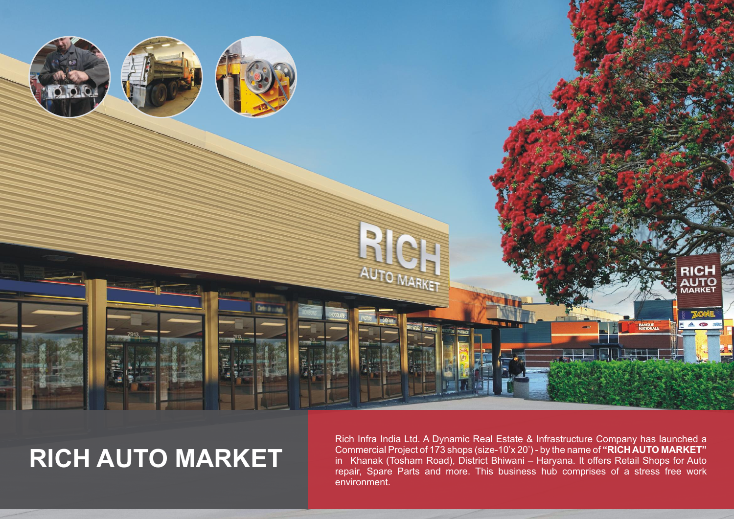

## **RICH AUTO MARKET**

Rich Infra India Ltd. A Dynamic Real Estate & Infrastructure Company has launched a Commercial Project of 173 shops (size-10'x 20') - by the name of **"RICH AUTO MARKET"** in Khanak (Tosham Road), District Bhiwani – Haryana. It offers Retail Shops for Auto repair, Spare Parts and more. This business hub comprises of a stress free work environment.